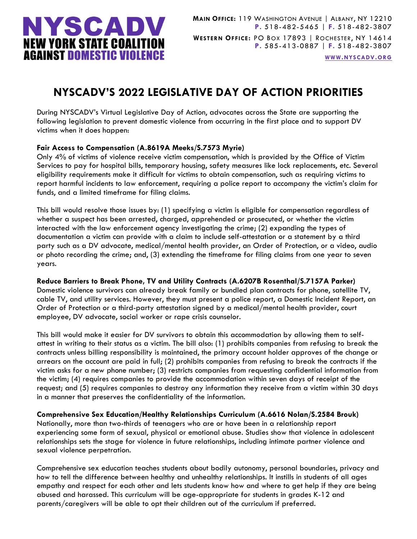

**[WWW.NYSCADV.ORG](file://server/data/Official%20Documents/NYSCADV%20Logo%20&%20Branding/2015%20Letterhead/www.nyscadv.org)**

# **NYSCADV'S 2022 LEGISLATIVE DAY OF ACTION PRIORITIES**

During NYSCADV's Virtual Legislative Day of Action, advocates across the State are supporting the following legislation to prevent domestic violence from occurring in the first place and to support DV victims when it does happen:

# **Fair Access to Compensation (A.8619A Meeks/S.7573 Myrie)**

Only 4% of victims of violence receive victim compensation, which is provided by the Office of Victim Services to pay for hospital bills, temporary housing, safety measures like lock replacements, etc. Several eligibility requirements make it difficult for victims to obtain compensation, such as requiring victims to report harmful incidents to law enforcement, requiring a police report to accompany the victim's claim for funds, and a limited timeframe for filing claims.

This bill would resolve those issues by: (1) specifying a victim is eligible for compensation regardless of whether a suspect has been arrested, charged, apprehended or prosecuted, or whether the victim interacted with the law enforcement agency investigating the crime; (2) expanding the types of documentation a victim can provide with a claim to include self-attestation or a statement by a third party such as a DV advocate, medical/mental health provider, an Order of Protection, or a video, audio or photo recording the crime; and, (3) extending the timeframe for filing claims from one year to seven years.

**Reduce Barriers to Break Phone, TV and Utility Contracts (A.6207B Rosenthal/S.7157A Parker)** Domestic violence survivors can already break family or bundled plan contracts for phone, satellite TV, cable TV, and utility services. However, they must present a police report, a Domestic Incident Report, an Order of Protection or a third-party attestation signed by a medical/mental health provider, court employee, DV advocate, social worker or rape crisis counselor.

This bill would make it easier for DV survivors to obtain this accommodation by allowing them to selfattest in writing to their status as a victim. The bill also: (1) prohibits companies from refusing to break the contracts unless billing responsibility is maintained, the primary account holder approves of the change or arrears on the account are paid in full; (2) prohibits companies from refusing to break the contracts if the victim asks for a new phone number; (3) restricts companies from requesting confidential information from the victim; (4) requires companies to provide the accommodation within seven days of receipt of the request; and (5) requires companies to destroy any information they receive from a victim within 30 days in a manner that preserves the confidentiality of the information.

**Comprehensive Sex Education/Healthy Relationships Curriculum (A.6616 Nolan/S.2584 Brouk)**

Nationally, more than two-thirds of teenagers who are or have been in a relationship report experiencing some form of sexual, physical or emotional abuse. Studies show that violence in adolescent relationships sets the stage for violence in future relationships, including intimate partner violence and sexual violence perpetration.

Comprehensive sex education teaches students about bodily autonomy, personal boundaries, privacy and how to tell the difference between healthy and unhealthy relationships. It instills in students of all ages empathy and respect for each other and lets students know how and where to get help if they are being abused and harassed. This curriculum will be age-appropriate for students in grades K-12 and parents/caregivers will be able to opt their children out of the curriculum if preferred.